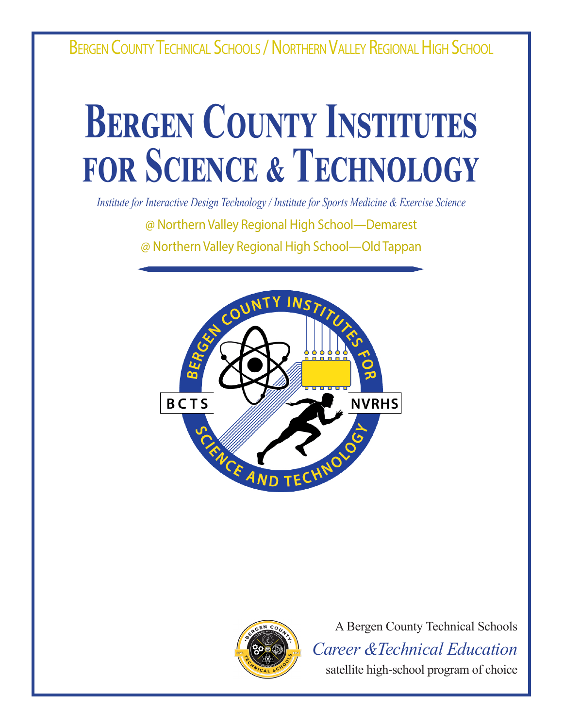BERGEN COUNTY TECHNICAL SCHOOLS / NORTHERN VALLEY REGIONAL HIGH SCHOOL

# **BERGEN COUNTY INSTITUTES for Science & Technology**

*Institute for Interactive Design Technology / Institute for Sports Medicine & Exercise Science*

@ Northern Valley Regional High School—Demarest

@ Northern Valley Regional High School—Old Tappan





A Bergen County Technical Schools *Career &Technical Education* satellite high-school program of choice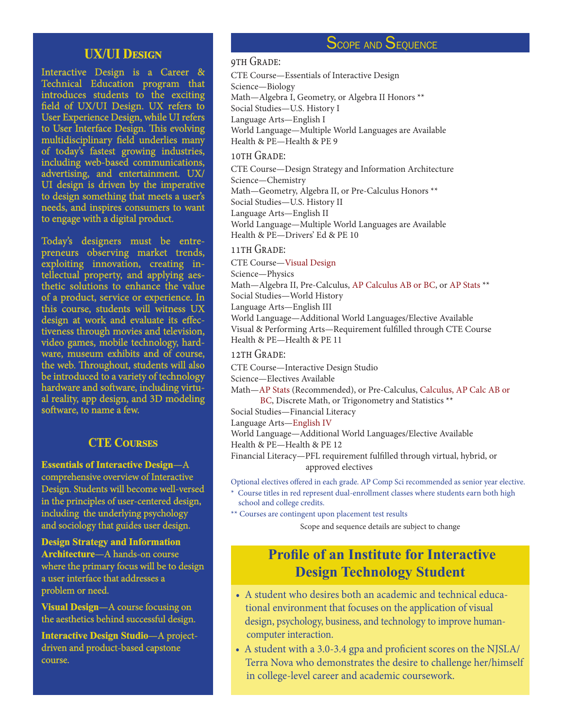#### **UX/UI Design**

Interactive Design is a Career & Technical Education program that introduces students to the exciting field of UX/UI Design. UX refers to User Experience Design, while UI refers to User Interface Design. This evolving multidisciplinary field underlies many of today's fastest growing industries, including web-based communications, advertising, and entertainment. UX/ UI design is driven by the imperative to design something that meets a user's needs, and inspires consumers to want to engage with a digital product.

Today's designers must be entrepreneurs observing market trends, exploiting innovation, creating intellectual property, and applying aesthetic solutions to enhance the value of a product, service or experience. In this course, students will witness UX design at work and evaluate its effectiveness through movies and television, video games, mobile technology, hardware, museum exhibits and of course, the web. Throughout, students will also be introduced to a variety of technology hardware and software, including virtual reality, app design, and 3D modeling software, to name a few.

#### **CTE Courses**

**Essentials of Interactive Design**—A comprehensive overview of Interactive Design. Students will become well-versed in the principles of user-centered design, including the underlying psychology and sociology that guides user design.

**Design Strategy and Information Architecture**—A hands-on course where the primary focus will be to design a user interface that addresses a problem or need.

**Visual Design**—A course focusing on the aesthetics behind successful design.

**Interactive Design Studio**—A projectdriven and product-based capstone course.

### SCOPE AND SEQUENCE

#### 9TH GRADE:

CTE Course—Essentials of Interactive Design Science—Biology Math—Algebra I, Geometry, or Algebra II Honors \*\* Social Studies—U.S. History I Language Arts—English I World Language—Multiple World Languages are Available Health & PE—Health & PE 9

#### 10TH GRADE:

CTE Course—Design Strategy and Information Architecture Science—Chemistry Math—Geometry, Algebra II, or Pre-Calculus Honors \*\* Social Studies—U.S. History II Language Arts—English II World Language—Multiple World Languages are Available Health & PE—Drivers' Ed & PE 10

#### 11TH GRADE:

#### CTE Course—Visual Design

Science—Physics

Math—Algebra II, Pre-Calculus, AP Calculus AB or BC, or AP Stats \*\* Social Studies—World History Language Arts—English III

World Language—Additional World Languages/Elective Available Visual & Performing Arts—Requirement fulfilled through CTE Course Health & PE—Health & PE 11

#### 12TH GRADE:

CTE Course—Interactive Design Studio

Science—Electives Available

Math—AP Stats (Recommended), or Pre-Calculus, Calculus, AP Calc AB or BC, Discrete Math, or Trigonometry and Statistics \*\*

Social Studies—Financial Literacy

Language Arts—English IV

World Language—Additional World Languages/Elective Available

Health & PE—Health & PE 12

Financial Literacy—PFL requirement fulfilled through virtual, hybrid, or approved electives

Optional electives offered in each grade. AP Comp Sci recommended as senior year elective.

- \* Course titles in red represent dual-enrollment classes where students earn both high school and college credits.
- \*\* Courses are contingent upon placement test results

Scope and sequence details are subject to change

## **Profile of an Institute for Interactive Design Technology Student**

- A student who desires both an academic and technical educa tional environment that focuses on the application of visual design, psychology, business, and technology to improve human computer interaction.
- A student with a 3.0-3.4 gpa and proficient scores on the NJSLA/ Terra Nova who demonstrates the desire to challenge her/himself in college-level career and academic coursework.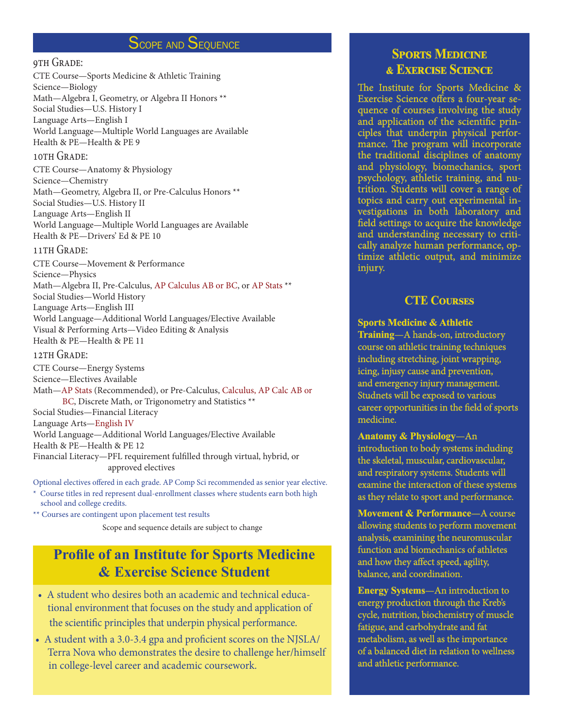## Scope and Sequence

#### 9th Grade:

CTE Course—Sports Medicine & Athletic Training Science—Biology Math—Algebra I, Geometry, or Algebra II Honors \*\* Social Studies—U.S. History I Language Arts—English I World Language—Multiple World Languages are Available Health & PE—Health & PE 9

#### 10TH GRADE:

CTE Course—Anatomy & Physiology Science—Chemistry Math—Geometry, Algebra II, or Pre-Calculus Honors \*\* Social Studies—U.S. History II Language Arts—English II World Language—Multiple World Languages are Available Health & PE—Drivers' Ed & PE 10

#### 11TH GRADE:

CTE Course—Movement & Performance Science—Physics Math—Algebra II, Pre-Calculus, AP Calculus AB or BC, or AP Stats \*\* Social Studies—World History Language Arts—English III World Language—Additional World Languages/Elective Available Visual & Performing Arts—Video Editing & Analysis Health & PE—Health & PE 11

#### 12TH GRADE:

CTE Course—Energy Systems Science—Electives Available Math—AP Stats (Recommended), or Pre-Calculus, Calculus, AP Calc AB or BC, Discrete Math, or Trigonometry and Statistics \*\* Social Studies—Financial Literacy Language Arts—English IV World Language—Additional World Languages/Elective Available Health & PE—Health & PE 12 Financial Literacy—PFL requirement fulfilled through virtual, hybrid, or approved electives

Optional electives offered in each grade. AP Comp Sci recommended as senior year elective. Course titles in red represent dual-enrollment classes where students earn both high school and college credits.

\*\* Courses are contingent upon placement test results

Scope and sequence details are subject to change

## **Profile of an Institute for Sports Medicine & Exercise Science Student**

- A student who desires both an academic and technical educa tional environment that focuses on the study and application of the scientific principles that underpin physical performance.
- A student with a 3.0-3.4 gpa and proficient scores on the NJSLA/ Terra Nova who demonstrates the desire to challenge her/himself in college-level career and academic coursework.

## **Sports Medicine & Exercise Science**

The Institute for Sports Medicine & Exercise Science offers a four-year sequence of courses involving the study and application of the scientific principles that underpin physical performance. The program will incorporate the traditional disciplines of anatomy and physiology, biomechanics, sport psychology, athletic training, and nutrition. Students will cover a range of topics and carry out experimental investigations in both laboratory and field settings to acquire the knowledge and understanding necessary to critically analyze human performance, optimize athletic output, and minimize injury.

#### **CTE Courses**

**Sports Medicine & Athletic Training**—A hands-on, introductory course on athletic training techniques including stretching, joint wrapping, icing, injusy cause and prevention, and emergency injury management. Studnets will be exposed to various career opportunities in the field of sports medicine.

#### **Anatomy & Physiology**—An

introduction to body systems including the skeletal, muscular, cardiovascular, and respiratory systems. Students will examine the interaction of these systems as they relate to sport and performance.

**Movement & Performance**—A course allowing students to perform movement analysis, examining the neuromuscular function and biomechanics of athletes and how they affect speed, agility, balance, and coordination.

**Energy Systems**—An introduction to energy production through the Kreb's cycle, nutrition, biochemistry of muscle fatigue, and carbohydrate and fat metabolism, as well as the importance of a balanced diet in relation to wellness and athletic performance.